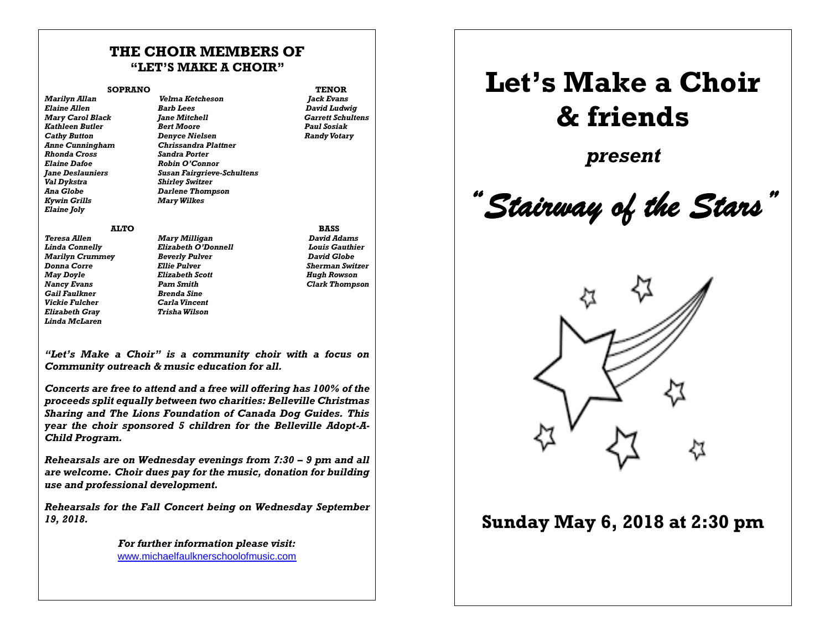## **THE CHOIR MEMBERS OF "LET'S MAKE A CHOIR"**

### **SOPRANO TENOR**

 $Marv$  *Carol Black Anne Cunningham Chrissandra Plattner*  $R$ *honda Cross Elaine Dafoe Robin O'Connor Val Dykstra Shirley Switzer Kywin Grills Mary Wilkes Elaine Joly* 

*Marilyn Allan Velma Ketcheson Jack Evans Elaine Allen Barb Lees David Ludwig Kathleen Butler Bert Moore Paul Sosiak Cathy Button Denyce Nielsen Randy Votary Jane Deslauniers Susan Fairgrieve-Schultens Ana Globe Darlene Thompson*

- *Teresa Allen Mary Milligan David Adams Marilyn Crummey Gail Faulkner Brenda Sine Vickie Fulcher Carla Vincent*  $E$ *lizabeth Grav Linda McLaren*
- *Linda Connelly Elizabeth O'Donnell Louis Gauthier Donna Corre Ellie Pulver Sherman Switzer May Doyle Elizabeth Scott Hugh Rowson Nancy Evans Pam Smith Clark Thompson*

 **ALTO BASS** 

*"Let's Make a Choir" is a community choir with a focus on Community outreach & music education for all.*

*Concerts are free to attend and a free will offering has 100% of the proceeds split equally between two charities: Belleville Christmas Sharing and The Lions Foundation of Canada Dog Guides. This year the choir sponsored 5 children for the Belleville Adopt-A-Child Program.*

*Rehearsals are on Wednesday evenings from 7:30 – 9 pm and all are welcome. Choir dues pay for the music, donation for building use and professional development.*

*Rehearsals for the Fall Concert being on Wednesday September 19, 2018.*

> *For further information please visit:*  [www.michaelfaulknerschoolofmusic.com](http://www.michaelfaulknerschoolofmusic.com/)

# **Let's Make a Choir & friends**

*present*

*"Stairway of the Stars"* 



## **Sunday May 6, 2018 at 2:30 pm**